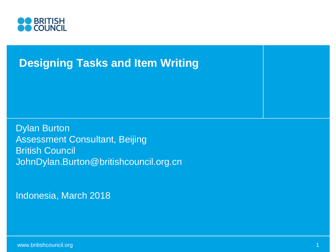

#### **Designing Tasks and Item Writing**

Dylan Burton Assessment Consultant, Beijing British Council JohnDylan.Burton@britishcouncil.org.cn

Indonesia, March 2018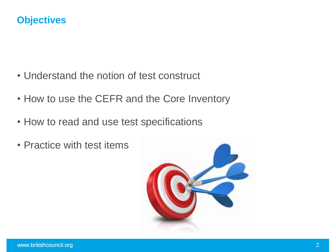#### **Objectives**

- Understand the notion of test construct
- How to use the CEFR and the Core Inventory
- How to read and use test specifications
- Practice with test items

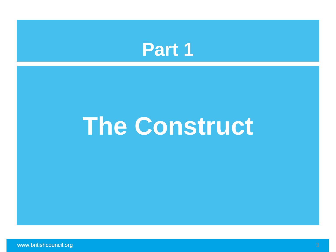

## **The Construct**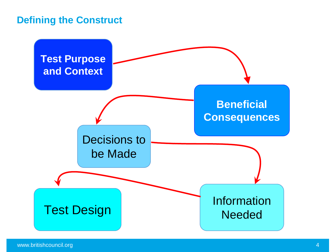#### **Defining the Construct**

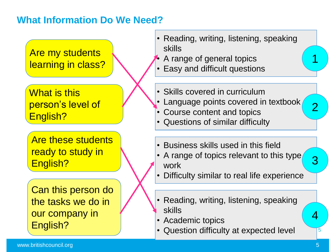#### **What Information Do We Need?**

Are my students learning in class?

What is this person's level of English?

Are these students ready to study in English?

Can this person do the tasks we do in our company in English?

- Reading, writing, listening, speaking skills
- A range of general topics
- Easy and difficult questions
- Skills covered in curriculum
- Language points covered in textbook
- Course content and topics
- Questions of similar difficulty
- Business skills used in this field
- A range of topics relevant to this type work
- Difficulty similar to real life experience
- Reading, writing, listening, speaking skills
- Academic topics
- Question difficulty at expected level

5

4

1

2

3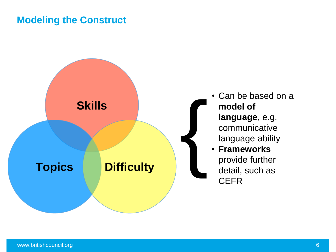#### **Modeling the Construct**



- Can be based on a **model of language**, e.g. communicative language ability • **Frameworks**
- provide further detail, such as **CEFR**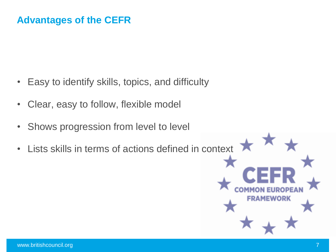#### **Advantages of the CEFR**

- Easy to identify skills, topics, and difficulty
- Clear, easy to follow, flexible model
- Shows progression from level to level
- Lists skills in terms of actions defined in context

**COMMONE** 

**FRAMEWORK**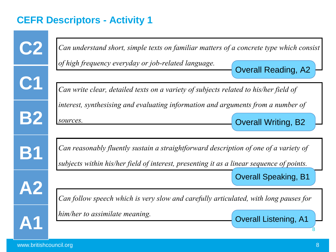#### **CEFR Descriptors - Activity 1**

| <b>C2</b> | Can understand short, simple texts on familiar matters of a concrete type which consist<br>of high frequency everyday or job-related language. |
|-----------|------------------------------------------------------------------------------------------------------------------------------------------------|
|           | <b>Overall Reading, A2</b>                                                                                                                     |
| C1        | Can write clear, detailed texts on a variety of subjects related to his/her field of                                                           |
|           | interest, synthesising and evaluating information and arguments from a number of                                                               |
| <b>B2</b> | sources.<br><b>Overall Writing, B2</b>                                                                                                         |
|           |                                                                                                                                                |
| <b>B1</b> | Can reasonably fluently sustain a straightforward description of one of a variety of                                                           |
|           | subjects within his/her field of interest, presenting it as a linear sequence of points.                                                       |
| А2        | <b>Overall Speaking, B1</b>                                                                                                                    |
|           | Can follow speech which is very slow and carefully articulated, with long pauses for                                                           |
|           | him/her to assimilate meaning.<br><b>Overall Listening, A1</b>                                                                                 |
|           |                                                                                                                                                |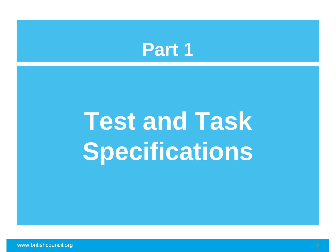### **Part 1**

# **Test and Task Specifications**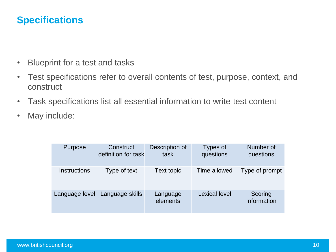#### **Specifications**

- Blueprint for a test and tasks
- Test specifications refer to overall contents of test, purpose, context, and construct
- Task specifications list all essential information to write test content
- May include:

| Purpose             | Construct<br>definition for task | Description of<br>task | Types of<br>questions | Number of<br>questions |
|---------------------|----------------------------------|------------------------|-----------------------|------------------------|
| <b>Instructions</b> | Type of text                     | Text topic             | Time allowed          | Type of prompt         |
| Language level      | Language skills                  | Language<br>elements   | <b>Lexical level</b>  | Scoring<br>Information |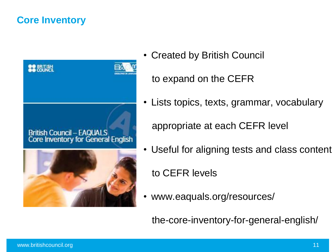#### **Core Inventory**



• Created by British Council

to expand on the CEFR

• Lists topics, texts, grammar, vocabulary

appropriate at each CEFR level

• Useful for aligning tests and class content

to CEFR levels

• www.eaquals.org/resources/

the-core-inventory-for-general-english/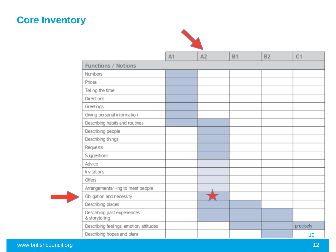#### **Core Inventory**



|                                               | A1 | A2 | <b>B1</b> | B2 | C <sub>1</sub> |
|-----------------------------------------------|----|----|-----------|----|----------------|
| <b>Functions / Notions</b>                    |    |    |           |    |                |
| Numbers                                       |    |    |           |    |                |
| Prices                                        |    |    |           |    |                |
| Telling the time                              |    |    |           |    |                |
| Directions                                    |    |    |           |    |                |
| Greetings                                     |    |    |           |    |                |
| Giving personal information                   |    |    |           |    |                |
| Describing habits and routines                |    |    |           |    |                |
| Describing people                             |    |    |           |    |                |
| Describing things                             |    |    |           |    |                |
| Requests                                      |    |    |           |    |                |
| Suggestions                                   |    |    |           |    |                |
| Advice                                        |    |    |           |    |                |
| Invitations                                   |    |    |           |    |                |
| Offers                                        |    |    |           |    |                |
| Arrangements/-ing to meet people              |    |    |           |    |                |
| Obligation and necessity                      |    |    |           |    |                |
| Describing places                             |    |    |           |    |                |
| Describing past experiences<br>& storytelling |    |    |           |    |                |
| Describing feelings, emotion, attitudes       |    |    |           |    | precisely      |
| Describing hopes and plans                    |    |    |           |    | 12             |

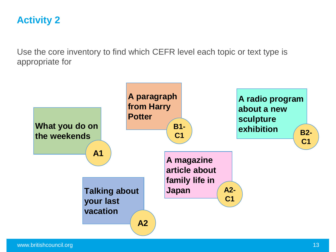#### **Activity 2**

Use the core inventory to find which CEFR level each topic or text type is appropriate for

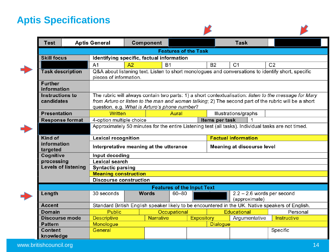#### **Aptis Specifications**

| <b>Test</b>                                            |                             | <b>Aptis General</b>                                                                                                         |                                       | <b>Component</b>          |       |  |                                     | <b>Task</b>                                   |                |                                                                                                                                                                                                                |  |
|--------------------------------------------------------|-----------------------------|------------------------------------------------------------------------------------------------------------------------------|---------------------------------------|---------------------------|-------|--|-------------------------------------|-----------------------------------------------|----------------|----------------------------------------------------------------------------------------------------------------------------------------------------------------------------------------------------------------|--|
|                                                        | <b>Features of the Task</b> |                                                                                                                              |                                       |                           |       |  |                                     |                                               |                |                                                                                                                                                                                                                |  |
| <b>Skill focus</b>                                     |                             | Identifying specific, factual information                                                                                    |                                       |                           |       |  |                                     |                                               |                |                                                                                                                                                                                                                |  |
|                                                        |                             | A <sub>1</sub>                                                                                                               | A2                                    | <b>B1</b>                 |       |  | <b>B2</b>                           | C <sub>1</sub>                                | C <sub>2</sub> |                                                                                                                                                                                                                |  |
| <b>Task description</b>                                |                             | Q&A about listening text. Listen to short monologues and conversations to identify short, specific<br>pieces of information. |                                       |                           |       |  |                                     |                                               |                |                                                                                                                                                                                                                |  |
| <b>Further</b><br>information                          |                             |                                                                                                                              |                                       |                           |       |  |                                     |                                               |                |                                                                                                                                                                                                                |  |
| <b>Instructions to</b><br>candidates                   |                             | question, e.g. What is Arturo's phone number?                                                                                |                                       |                           |       |  |                                     |                                               |                | The rubric will always contain two parts: 1) a short contextualisation: listen to the message for Mary<br>from Arturo or listen to the man and woman talking; 2) The second part of the rubric will be a short |  |
| <b>Presentation</b>                                    |                             | <b>Written</b>                                                                                                               |                                       |                           | Aural |  |                                     | Illustrations/graphs                          |                |                                                                                                                                                                                                                |  |
| <b>Response format</b>                                 |                             | 4-option multiple choice                                                                                                     |                                       |                           |       |  | Items per task                      |                                               |                |                                                                                                                                                                                                                |  |
|                                                        |                             | Approximately 50 minutes for the entire Listening test (all tasks). Individual tasks are not timed.                          |                                       |                           |       |  |                                     |                                               |                |                                                                                                                                                                                                                |  |
| <b>Kind of</b>                                         |                             | <b>Lexical recognition</b>                                                                                                   |                                       |                           |       |  | <b>Factual information</b>          |                                               |                |                                                                                                                                                                                                                |  |
| information<br>targeted                                |                             | Interpretative meaning at the utterance<br><b>Meaning at discourse level</b>                                                 |                                       |                           |       |  |                                     |                                               |                |                                                                                                                                                                                                                |  |
| Cognitive                                              |                             | Input decoding                                                                                                               |                                       |                           |       |  |                                     |                                               |                |                                                                                                                                                                                                                |  |
| processing<br>Lexical search                           |                             |                                                                                                                              |                                       |                           |       |  |                                     |                                               |                |                                                                                                                                                                                                                |  |
| <b>Levels of listening</b><br><b>Syntactic parsing</b> |                             |                                                                                                                              |                                       |                           |       |  |                                     |                                               |                |                                                                                                                                                                                                                |  |
|                                                        |                             | <b>Meaning construction</b>                                                                                                  |                                       |                           |       |  |                                     |                                               |                |                                                                                                                                                                                                                |  |
| <b>Discourse construction</b>                          |                             |                                                                                                                              |                                       |                           |       |  |                                     |                                               |                |                                                                                                                                                                                                                |  |
| <b>Features of the Input Text</b>                      |                             |                                                                                                                              |                                       |                           |       |  |                                     |                                               |                |                                                                                                                                                                                                                |  |
| Length                                                 |                             | 30 seconds                                                                                                                   |                                       | <b>Words</b><br>$60 - 80$ |       |  |                                     | $2.2 - 2.6$ words per second<br>(approximate) |                |                                                                                                                                                                                                                |  |
| <b>Accent</b>                                          |                             | Standard British English speaker likely to be encountered in the UK. Native speakers of English.                             |                                       |                           |       |  |                                     |                                               |                |                                                                                                                                                                                                                |  |
| <b>Domain</b>                                          |                             | <b>Public</b>                                                                                                                |                                       | Occupational              |       |  |                                     | <b>Educational</b>                            |                | Personal                                                                                                                                                                                                       |  |
| <b>Discourse mode</b>                                  |                             | <b>Descriptive</b>                                                                                                           | <b>Narrative</b><br><b>Expository</b> |                           |       |  | Argumentative<br><b>Instructive</b> |                                               |                |                                                                                                                                                                                                                |  |
| <b>Pattern</b>                                         |                             | Monologue                                                                                                                    |                                       |                           |       |  | <b>Dialogue</b>                     |                                               |                |                                                                                                                                                                                                                |  |
| <b>Content</b><br>knowledge                            |                             | General                                                                                                                      |                                       |                           |       |  |                                     |                                               |                | Specific                                                                                                                                                                                                       |  |
|                                                        |                             |                                                                                                                              |                                       |                           |       |  |                                     |                                               |                |                                                                                                                                                                                                                |  |

M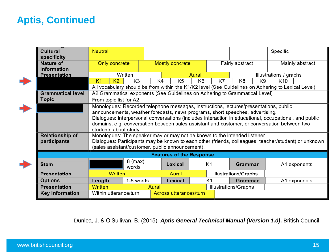#### **Aptis, Continued**

| <b>Cultural</b>          | <b>Neutral</b>                                                                                        |                |         |                                 |                                                                                                    |                |                                    |                | Specific        |              |  |
|--------------------------|-------------------------------------------------------------------------------------------------------|----------------|---------|---------------------------------|----------------------------------------------------------------------------------------------------|----------------|------------------------------------|----------------|-----------------|--------------|--|
| specificity              |                                                                                                       |                |         |                                 |                                                                                                    |                |                                    |                |                 |              |  |
| <b>Nature of</b>         | Only concrete                                                                                         |                |         | <b>Mostly concrete</b>          |                                                                                                    |                | Fairly abstract<br>Mainly abstract |                |                 |              |  |
| information              |                                                                                                       |                |         |                                 |                                                                                                    |                |                                    |                |                 |              |  |
| <b>Presentation</b>      |                                                                                                       | Written        |         | <b>Aural</b>                    |                                                                                                    |                | Illustrations / graphs             |                |                 |              |  |
|                          | K <sub>2</sub><br>K <sub>1</sub>                                                                      | K <sub>3</sub> | K4      | K <sub>5</sub>                  | K <sub>6</sub>                                                                                     | K7             | K <sub>8</sub>                     | K <sub>9</sub> | K <sub>10</sub> |              |  |
|                          |                                                                                                       |                |         |                                 | All vocabulary should be from within the K1/K2 level (See Guidelines on Adhering to Lexical Level) |                |                                    |                |                 |              |  |
| <b>Grammatical level</b> | A2 Grammatical exponents (See Guidelines on Adhering to Grammatical Level)                            |                |         |                                 |                                                                                                    |                |                                    |                |                 |              |  |
| <b>Topic</b>             | From topic list for A2                                                                                |                |         |                                 |                                                                                                    |                |                                    |                |                 |              |  |
|                          | Monologues: Recorded telephone messages, instructions, lectures/presentations, public                 |                |         |                                 |                                                                                                    |                |                                    |                |                 |              |  |
|                          | announcements, weather forecasts, news programs, short speeches, advertising.                         |                |         |                                 |                                                                                                    |                |                                    |                |                 |              |  |
|                          | Dialogues: Interpersonal conversations (includes interaction in educational, occupational, and public |                |         |                                 |                                                                                                    |                |                                    |                |                 |              |  |
|                          | domains, e.g. conversation between sales assistant and customer, or conversation between two          |                |         |                                 |                                                                                                    |                |                                    |                |                 |              |  |
|                          | students about study.                                                                                 |                |         |                                 |                                                                                                    |                |                                    |                |                 |              |  |
| <b>Relationship of</b>   | Monologues: The speaker may or may not be known to the intended listener.                             |                |         |                                 |                                                                                                    |                |                                    |                |                 |              |  |
| participants             | Dialogues: Participants may be known to each other (friends, colleagues, teacher/student) or unknown  |                |         |                                 |                                                                                                    |                |                                    |                |                 |              |  |
|                          | (sales assistant/customer, public announcement).                                                      |                |         |                                 |                                                                                                    |                |                                    |                |                 |              |  |
|                          |                                                                                                       |                |         | <b>Features of the Response</b> |                                                                                                    |                |                                    |                |                 |              |  |
| <b>Stem</b>              |                                                                                                       | $8$ (max)      |         | Lexical                         |                                                                                                    | K1             | Grammar                            |                |                 |              |  |
|                          |                                                                                                       | words          |         |                                 |                                                                                                    |                |                                    |                | A1 exponents    |              |  |
| <b>Presentation</b>      | <b>Written</b>                                                                                        |                |         | Aural                           |                                                                                                    |                | Illustrations/Graphs               |                |                 |              |  |
| <b>Options</b>           | Length                                                                                                | 1-5 words      | Lexical |                                 |                                                                                                    | K <sub>1</sub> | <b>Grammar</b>                     |                |                 | A1 exponents |  |
| <b>Presentation</b>      | <b>Written</b>                                                                                        |                | Aural   |                                 |                                                                                                    |                | <b>Illustrations/Graphs</b>        |                |                 |              |  |
| <b>Key information</b>   | Within utterance/turn                                                                                 |                |         | <b>Across utterances/turn</b>   |                                                                                                    |                |                                    |                |                 |              |  |
|                          |                                                                                                       |                |         |                                 |                                                                                                    |                |                                    |                |                 |              |  |

Dunlea, J. & O'Sullivan, B. (2015). *Aptis General Technical Manual (Version 1.0)***.** British Council.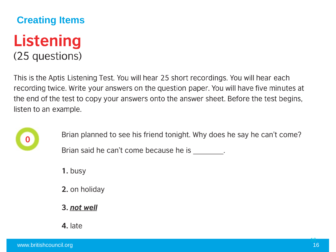### **Creating Items Listening** (25 questions)

This is the Aptis Listening Test. You will hear 25 short recordings. You will hear each recording twice. Write your answers on the question paper. You will have five minutes at the end of the test to copy your answers onto the answer sheet. Before the test begins, listen to an example.



Brian planned to see his friend tonight. Why does he say he can't come?

Brian said he can't come because he is

1. busy

- 2. on holiday
- 3. not well
- 4. late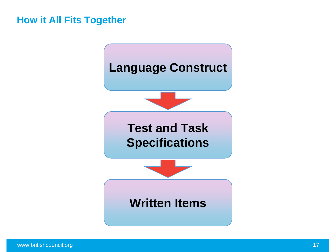#### **How it All Fits Together**

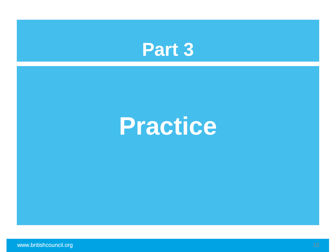

## **Practice**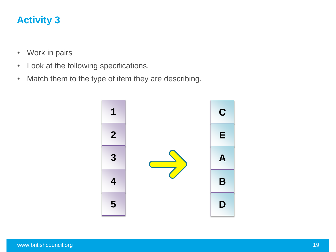#### **Activity 3**

- Work in pairs
- Look at the following specifications.
- Match them to the type of item they are describing.

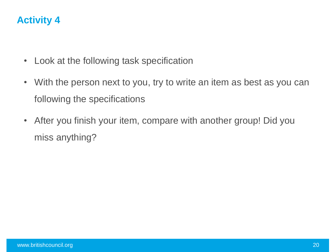#### **Activity 4**

- Look at the following task specification
- With the person next to you, try to write an item as best as you can following the specifications
- After you finish your item, compare with another group! Did you miss anything?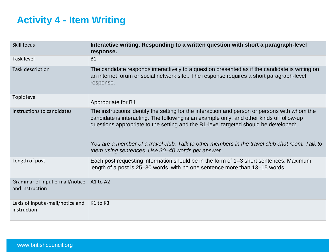#### **Activity 4 - Item Writing**

| <b>Skill focus</b>                                | Interactive writing. Responding to a written question with short a paragraph-level<br>response.                                                                                                                                                                                                                                                                                                                                         |
|---------------------------------------------------|-----------------------------------------------------------------------------------------------------------------------------------------------------------------------------------------------------------------------------------------------------------------------------------------------------------------------------------------------------------------------------------------------------------------------------------------|
| Task level                                        | <b>B1</b>                                                                                                                                                                                                                                                                                                                                                                                                                               |
| Task description                                  | The candidate responds interactively to a question presented as if the candidate is writing on<br>an internet forum or social network site The response requires a short paragraph-level<br>response.                                                                                                                                                                                                                                   |
| Topic level                                       | Appropriate for B1                                                                                                                                                                                                                                                                                                                                                                                                                      |
| Instructions to candidates                        | The instructions identify the setting for the interaction and person or persons with whom the<br>candidate is interacting. The following is an example only, and other kinds of follow-up<br>questions appropriate to the setting and the B1-level targeted should be developed:<br>You are a member of a travel club. Talk to other members in the travel club chat room. Talk to<br>them using sentences. Use 30–40 words per answer. |
| Length of post                                    | Each post requesting information should be in the form of 1–3 short sentences. Maximum<br>length of a post is 25–30 words, with no one sentence more than 13–15 words.                                                                                                                                                                                                                                                                  |
| Grammar of input e-mail/notice<br>and instruction | A1 to A2                                                                                                                                                                                                                                                                                                                                                                                                                                |
| Lexis of input e-mail/notice and<br>instruction   | K <sub>1</sub> to K <sub>3</sub>                                                                                                                                                                                                                                                                                                                                                                                                        |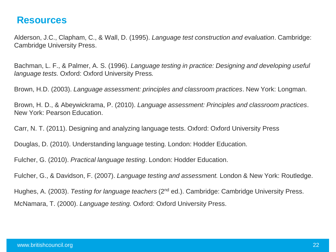#### **Resources**

Alderson, J.C., Clapham, C., & Wall, D. (1995). *Language test construction and evaluation*. Cambridge: Cambridge University Press.

Bachman, L. F., & Palmer, A. S. (1996). *Language testing in practice: Designing and developing useful language tests.* Oxford: Oxford University Press*.*

Brown, H.D. (2003). *Language assessment: principles and classroom practices*. New York: Longman.

Brown, H. D., & Abeywickrama, P. (2010). *Language assessment: Principles and classroom practices*. New York: Pearson Education.

Carr, N. T. (2011). Designing and analyzing language tests. Oxford: Oxford University Press

Douglas, D. (2010). Understanding language testing. London: Hodder Education.

Fulcher, G. (2010). *Practical language testing*. London: Hodder Education.

Fulcher, G., & Davidson, F. (2007). *Language testing and assessment.* London & New York: Routledge.

Hughes, A. (2003). *Testing for language teachers* (2nd ed.). Cambridge: Cambridge University Press.

McNamara, T. (2000). *Language testing.* Oxford: Oxford University Press.